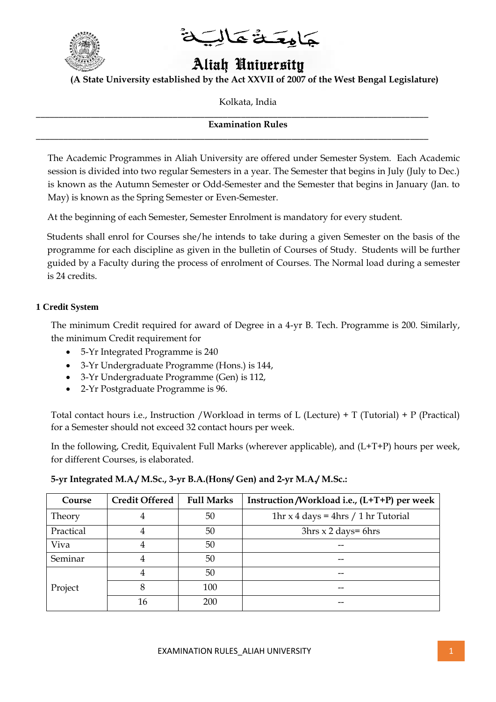

جَامِعَـةُ عَالِبَ

# Aliah University

**(A State University established by the Act XXVII of 2007 of the West Bengal Legislature)**

Kolkata, India

**Examination Rules**

\_\_\_\_\_\_\_\_\_\_\_\_\_\_\_\_\_\_\_\_\_\_\_\_\_\_\_\_\_\_\_\_\_\_\_\_\_\_\_\_\_\_\_\_\_\_\_\_\_\_\_\_\_\_\_\_\_\_\_\_\_\_\_\_\_\_\_\_\_\_\_\_\_\_\_\_\_\_\_\_\_\_\_\_\_\_

\_\_\_\_\_\_\_\_\_\_\_\_\_\_\_\_\_\_\_\_\_\_\_\_\_\_\_\_\_\_\_\_\_\_\_\_\_\_\_\_\_\_\_\_\_\_\_\_\_\_\_\_\_\_\_\_\_\_\_\_\_\_\_\_\_\_\_\_\_\_\_\_\_\_\_\_\_\_\_\_\_\_\_\_\_\_

The Academic Programmes in Aliah University are offered under Semester System. Each Academic session is divided into two regular Semesters in a year. The Semester that begins in July (July to Dec.) is known as the Autumn Semester or Odd-Semester and the Semester that begins in January (Jan. to May) is known as the Spring Semester or Even-Semester.

At the beginning of each Semester, Semester Enrolment is mandatory for every student.

Students shall enrol for Courses she/he intends to take during a given Semester on the basis of the programme for each discipline as given in the bulletin of Courses of Study. Students will be further guided by a Faculty during the process of enrolment of Courses. The Normal load during a semester is 24 credits.

#### **1 Credit System**

The minimum Credit required for award of Degree in a 4-yr B. Tech. Programme is 200. Similarly, the minimum Credit requirement for

- 5-Yr Integrated Programme is 240
- 3-Yr Undergraduate Programme (Hons.) is 144,
- 3-Yr Undergraduate Programme (Gen) is 112,
- 2-Yr Postgraduate Programme is 96.

Total contact hours i.e., Instruction /Workload in terms of L (Lecture) + T (Tutorial) + P (Practical) for a Semester should not exceed 32 contact hours per week.

In the following, Credit, Equivalent Full Marks (wherever applicable), and (L+T+P) hours per week, for different Courses, is elaborated.

#### **5-yr Integrated M.A./ M.Sc., 3-yr B.A.(Hons/ Gen) and 2-yr M.A./ M.Sc.:**

| Course    | <b>Credit Offered</b> | <b>Full Marks</b> | Instruction /Workload i.e., $(L+T+P)$ per week |
|-----------|-----------------------|-------------------|------------------------------------------------|
| Theory    | 4                     | 50                | 1hr x 4 days = 4hrs / 1 hr Tutorial            |
| Practical | 4                     | 50                | $3hrs \times 2 days = 6hrs$                    |
| Viva      | 4                     | 50                |                                                |
| Seminar   | 4                     | 50                |                                                |
|           | 4                     | 50                |                                                |
| Project   | 8                     | 100               | --                                             |
|           | 16                    | 200               |                                                |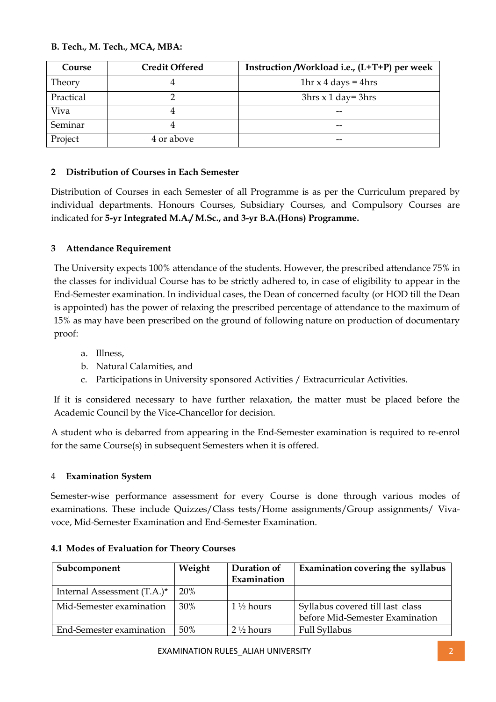## **B. Tech., M. Tech., MCA, MBA:**

| Course    | <b>Credit Offered</b> | Instruction /Workload i.e., (L+T+P) per week |
|-----------|-----------------------|----------------------------------------------|
| Theory    |                       | 1hr $x$ 4 days = 4hrs                        |
| Practical |                       | $3hrs \times 1 day = 3hrs$                   |
| Viva      |                       | $- -$                                        |
| Seminar   |                       | $- -$                                        |
| Project   | 4 or above            | --                                           |

## **2 Distribution of Courses in Each Semester**

Distribution of Courses in each Semester of all Programme is as per the Curriculum prepared by individual departments. Honours Courses, Subsidiary Courses, and Compulsory Courses are indicated for **5-yr Integrated M.A./ M.Sc., and 3-yr B.A.(Hons) Programme.** 

## **3 Attendance Requirement**

The University expects 100% attendance of the students. However, the prescribed attendance 75% in the classes for individual Course has to be strictly adhered to, in case of eligibility to appear in the End-Semester examination. In individual cases, the Dean of concerned faculty (or HOD till the Dean is appointed) has the power of relaxing the prescribed percentage of attendance to the maximum of 15% as may have been prescribed on the ground of following nature on production of documentary proof:

- a. Illness,
- b. Natural Calamities, and
- c. Participations in University sponsored Activities / Extracurricular Activities.

If it is considered necessary to have further relaxation, the matter must be placed before the Academic Council by the Vice-Chancellor for decision.

A student who is debarred from appearing in the End-Semester examination is required to re-enrol for the same Course(s) in subsequent Semesters when it is offered.

## 4 **Examination System**

Semester-wise performance assessment for every Course is done through various modes of examinations. These include Quizzes/Class tests/Home assignments/Group assignments/ Vivavoce, Mid-Semester Examination and End-Semester Examination.

| Subcomponent                | Weight | Duration of<br>Examination | Examination covering the syllabus                                   |
|-----------------------------|--------|----------------------------|---------------------------------------------------------------------|
| Internal Assessment (T.A.)* | 20%    |                            |                                                                     |
| Mid-Semester examination    | 30%    | $1\frac{1}{2}$ hours       | Syllabus covered till last class<br>before Mid-Semester Examination |
| End-Semester examination    | 50%    | $2\frac{1}{2}$ hours       | <b>Full Syllabus</b>                                                |

#### **4.1 Modes of Evaluation for Theory Courses**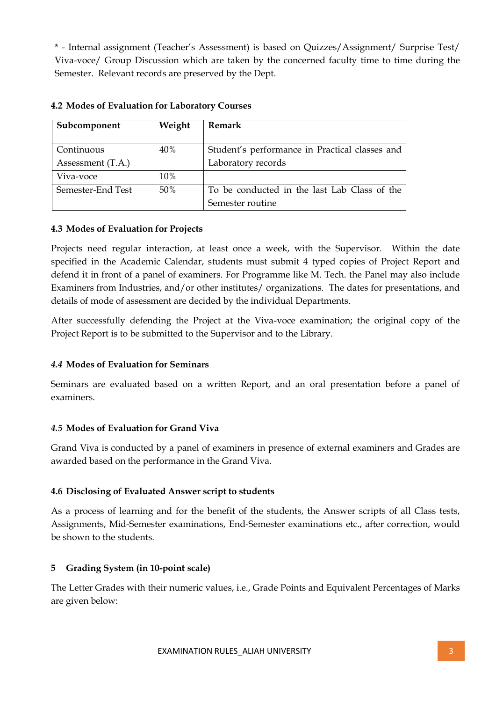\* - Internal assignment (Teacher's Assessment) is based on Quizzes/Assignment/ Surprise Test/ Viva-voce/ Group Discussion which are taken by the concerned faculty time to time during the Semester. Relevant records are preserved by the Dept.

| Subcomponent      | Weight | Remark                                         |
|-------------------|--------|------------------------------------------------|
| Continuous        | 40%    | Student's performance in Practical classes and |
| Assessment (T.A.) |        | Laboratory records                             |
| Viva-voce         | 10%    |                                                |
| Semester-End Test | 50%    | To be conducted in the last Lab Class of the   |
|                   |        | Semester routine                               |

#### **4.2 Modes of Evaluation for Laboratory Courses**

#### **4.3 Modes of Evaluation for Projects**

Projects need regular interaction, at least once a week, with the Supervisor. Within the date specified in the Academic Calendar, students must submit 4 typed copies of Project Report and defend it in front of a panel of examiners. For Programme like M. Tech. the Panel may also include Examiners from Industries, and/or other institutes/ organizations. The dates for presentations, and details of mode of assessment are decided by the individual Departments.

After successfully defending the Project at the Viva-voce examination; the original copy of the Project Report is to be submitted to the Supervisor and to the Library.

## *4.4* **Modes of Evaluation for Seminars**

Seminars are evaluated based on a written Report, and an oral presentation before a panel of examiners.

#### *4.5* **Modes of Evaluation for Grand Viva**

Grand Viva is conducted by a panel of examiners in presence of external examiners and Grades are awarded based on the performance in the Grand Viva.

## **4.6 Disclosing of Evaluated Answer script to students**

As a process of learning and for the benefit of the students, the Answer scripts of all Class tests, Assignments, Mid-Semester examinations, End-Semester examinations etc., after correction, would be shown to the students.

## **5 Grading System (in 10-point scale)**

The Letter Grades with their numeric values, i.e., Grade Points and Equivalent Percentages of Marks are given below: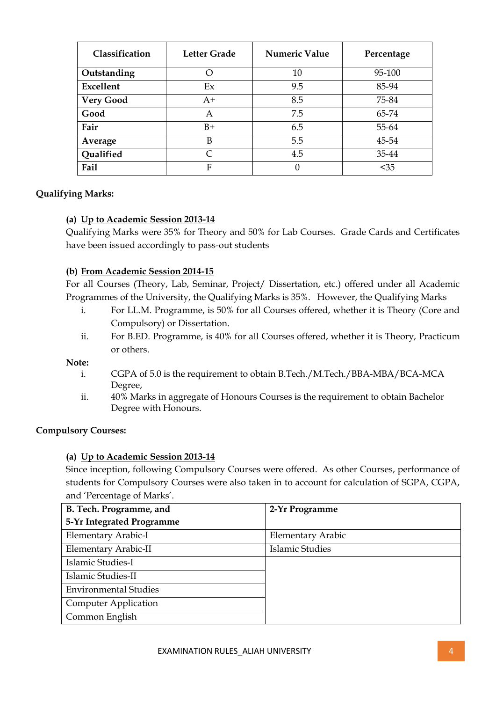| Classification   | <b>Letter Grade</b> | <b>Numeric Value</b> | Percentage |
|------------------|---------------------|----------------------|------------|
| Outstanding      | ()                  | 10                   | 95-100     |
| Excellent        | Ex                  | 9.5                  | 85-94      |
| <b>Very Good</b> | $A+$                | 8.5                  | 75-84      |
| Good             | A                   | 7.5                  | 65-74      |
| Fair             | $B+$                | 6.5                  | 55-64      |
| Average          | B                   | 5.5                  | 45-54      |
| <b>Qualified</b> | $\subset$           | 4.5                  | 35-44      |
| Fail             | F                   | 0                    | $35$       |

## **Qualifying Marks:**

#### **(a) Up to Academic Session 2013-14**

Qualifying Marks were 35% for Theory and 50% for Lab Courses. Grade Cards and Certificates have been issued accordingly to pass-out students

#### **(b) From Academic Session 2014-15**

For all Courses (Theory, Lab, Seminar, Project/ Dissertation, etc.) offered under all Academic Programmes of the University, the Qualifying Marks is 35%.However, the Qualifying Marks

- i. For LL.M. Programme, is 50% for all Courses offered, whether it is Theory (Core and Compulsory) or Dissertation.
- ii. For B.ED. Programme, is 40% for all Courses offered, whether it is Theory, Practicum or others.

#### **Note:**

- i. CGPA of 5.0 is the requirement to obtain B.Tech./M.Tech./BBA-MBA/BCA-MCA Degree,
- ii. 40% Marks in aggregate of Honours Courses is the requirement to obtain Bachelor Degree with Honours.

#### **Compulsory Courses:**

## **(a) Up to Academic Session 2013-14**

Since inception, following Compulsory Courses were offered. As other Courses, performance of students for Compulsory Courses were also taken in to account for calculation of SGPA, CGPA, and 'Percentage of Marks'.

| B. Tech. Programme, and      | 2-Yr Programme           |
|------------------------------|--------------------------|
| 5-Yr Integrated Programme    |                          |
| Elementary Arabic-I          | <b>Elementary Arabic</b> |
| Elementary Arabic-II         | <b>Islamic Studies</b>   |
| Islamic Studies-I            |                          |
| Islamic Studies-II           |                          |
| <b>Environmental Studies</b> |                          |
| <b>Computer Application</b>  |                          |
| Common English               |                          |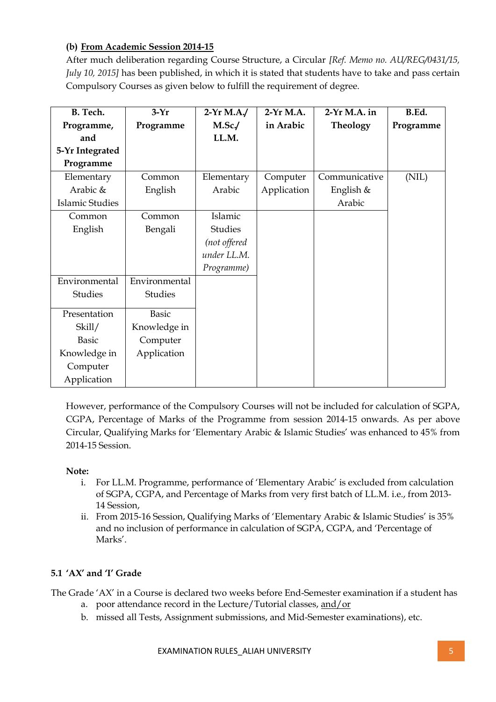## **(b) From Academic Session 2014-15**

After much deliberation regarding Course Structure, a Circular *[Ref. Memo no. AU/REG/0431/15, July 10, 2015]* has been published, in which it is stated that students have to take and pass certain Compulsory Courses as given below to fulfill the requirement of degree.

| B. Tech.               | $3-Yr$        | $2-Yr M.A./$   | 2-Yr M.A.   | $2-Yr M.A.$ in | B.Ed.     |
|------------------------|---------------|----------------|-------------|----------------|-----------|
| Programme,             | Programme     | $M.Sc$ .       | in Arabic   | Theology       | Programme |
| and                    |               | LL.M.          |             |                |           |
| 5-Yr Integrated        |               |                |             |                |           |
| Programme              |               |                |             |                |           |
| Elementary             | Common        | Elementary     | Computer    | Communicative  | (NIL)     |
| Arabic &               | English       | Arabic         | Application | English &      |           |
| <b>Islamic Studies</b> |               |                |             | Arabic         |           |
| Common                 | Common        | Islamic        |             |                |           |
| English                | Bengali       | <b>Studies</b> |             |                |           |
|                        |               | (not offered   |             |                |           |
|                        |               | under LL.M.    |             |                |           |
|                        |               | Programme)     |             |                |           |
| Environmental          | Environmental |                |             |                |           |
| <b>Studies</b>         | Studies       |                |             |                |           |
| Presentation           | <b>Basic</b>  |                |             |                |           |
| Skill/                 | Knowledge in  |                |             |                |           |
| <b>Basic</b>           | Computer      |                |             |                |           |
| Knowledge in           | Application   |                |             |                |           |
| Computer               |               |                |             |                |           |
| Application            |               |                |             |                |           |

However, performance of the Compulsory Courses will not be included for calculation of SGPA, CGPA, Percentage of Marks of the Programme from session 2014-15 onwards. As per above Circular, Qualifying Marks for 'Elementary Arabic & Islamic Studies' was enhanced to 45% from 2014-15 Session.

## **Note:**

- i. For LL.M. Programme, performance of 'Elementary Arabic' is excluded from calculation of SGPA, CGPA, and Percentage of Marks from very first batch of LL.M. i.e., from 2013- 14 Session,
- ii. From 2015-16 Session, Qualifying Marks of 'Elementary Arabic & Islamic Studies' is 35% and no inclusion of performance in calculation of SGPA, CGPA, and 'Percentage of Marks'.

## **5.1 'AX' and 'I' Grade**

The Grade 'AX' in a Course is declared two weeks before End-Semester examination if a student has

- a. poor attendance record in the Lecture/Tutorial classes, and/or
- b. missed all Tests, Assignment submissions, and Mid-Semester examinations), etc.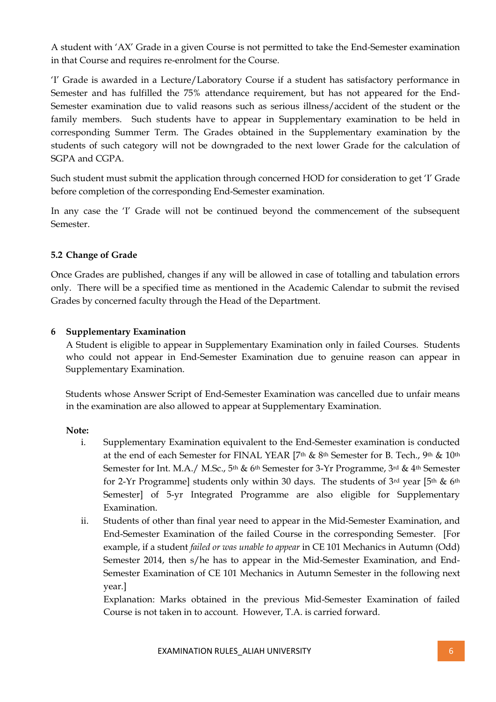A student with 'AX' Grade in a given Course is not permitted to take the End-Semester examination in that Course and requires re-enrolment for the Course.

'I' Grade is awarded in a Lecture/Laboratory Course if a student has satisfactory performance in Semester and has fulfilled the 75% attendance requirement, but has not appeared for the End-Semester examination due to valid reasons such as serious illness/accident of the student or the family members. Such students have to appear in Supplementary examination to be held in corresponding Summer Term. The Grades obtained in the Supplementary examination by the students of such category will not be downgraded to the next lower Grade for the calculation of SGPA and CGPA.

Such student must submit the application through concerned HOD for consideration to get 'I' Grade before completion of the corresponding End-Semester examination.

In any case the 'I' Grade will not be continued beyond the commencement of the subsequent Semester.

## **5.2 Change of Grade**

Once Grades are published, changes if any will be allowed in case of totalling and tabulation errors only. There will be a specified time as mentioned in the Academic Calendar to submit the revised Grades by concerned faculty through the Head of the Department.

#### **6 Supplementary Examination**

A Student is eligible to appear in Supplementary Examination only in failed Courses. Students who could not appear in End-Semester Examination due to genuine reason can appear in Supplementary Examination.

Students whose Answer Script of End-Semester Examination was cancelled due to unfair means in the examination are also allowed to appear at Supplementary Examination.

#### **Note:**

- i. Supplementary Examination equivalent to the End-Semester examination is conducted at the end of each Semester for FINAL YEAR [7th & 8th Semester for B. Tech., 9th & 10th Semester for Int. M.A./ M.Sc., 5<sup>th</sup> & 6<sup>th</sup> Semester for 3-Yr Programme, 3<sup>rd</sup> & 4<sup>th</sup> Semester for 2-Yr Programme] students only within 30 days. The students of 3rd year [5<sup>th</sup> & 6<sup>th</sup> Semester] of 5-yr Integrated Programme are also eligible for Supplementary Examination.
- ii. Students of other than final year need to appear in the Mid-Semester Examination, and End-Semester Examination of the failed Course in the corresponding Semester. [For example, if a student *failed or was unable to appear* in CE 101 Mechanics in Autumn (Odd) Semester 2014, then s/he has to appear in the Mid-Semester Examination, and End-Semester Examination of CE 101 Mechanics in Autumn Semester in the following next year.]

Explanation: Marks obtained in the previous Mid-Semester Examination of failed Course is not taken in to account. However, T.A. is carried forward.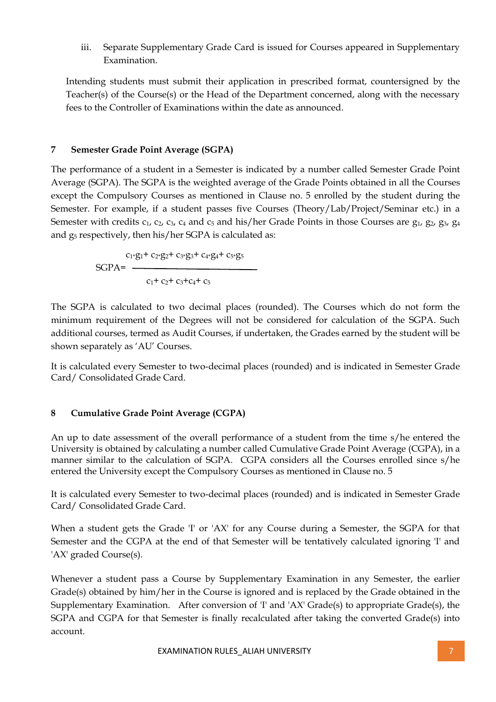iii. Separate Supplementary Grade Card is issued for Courses appeared in Supplementary Examination.

Intending students must submit their application in prescribed format, countersigned by the Teacher(s) of the Course(s) or the Head of the Department concerned, along with the necessary fees to the Controller of Examinations within the date as announced.

## **7 Semester Grade Point Average (SGPA)**

The performance of a student in a Semester is indicated by a number called Semester Grade Point Average (SGPA). The SGPA is the weighted average of the Grade Points obtained in all the Courses except the Compulsory Courses as mentioned in Clause no. 5 enrolled by the student during the Semester. For example, if a student passes five Courses (Theory/Lab/Project/Seminar etc.) in a Semester with credits  $c_1$ ,  $c_2$ ,  $c_3$ ,  $c_4$  and  $c_5$  and his/her Grade Points in those Courses are  $g_1$ ,  $g_2$ ,  $g_3$ ,  $g_4$ and g<sup>5</sup> respectively, then his/her SGPA is calculated as:

> $c_1*g_1+c_2*g_2+c_3*g_3+c_4*g_4+c_5*g_5$ SGPA=  $C_1$ +  $C_2$ +  $C_3$ + $C_4$ +  $C_5$

The SGPA is calculated to two decimal places (rounded). The Courses which do not form the minimum requirement of the Degrees will not be considered for calculation of the SGPA. Such additional courses, termed as Audit Courses, if undertaken, the Grades earned by the student will be shown separately as 'AU' Courses.

It is calculated every Semester to two-decimal places (rounded) and is indicated in Semester Grade Card/ Consolidated Grade Card.

## **8 Cumulative Grade Point Average (CGPA)**

An up to date assessment of the overall performance of a student from the time s/he entered the University is obtained by calculating a number called Cumulative Grade Point Average (CGPA), in a manner similar to the calculation of SGPA. CGPA considers all the Courses enrolled since s/he entered the University except the Compulsory Courses as mentioned in Clause no. 5

It is calculated every Semester to two-decimal places (rounded) and is indicated in Semester Grade Card/ Consolidated Grade Card.

When a student gets the Grade 'I' or 'AX' for any Course during a Semester, the SGPA for that Semester and the CGPA at the end of that Semester will be tentatively calculated ignoring 'I' and 'AX' graded Course(s).

Whenever a student pass a Course by Supplementary Examination in any Semester, the earlier Grade(s) obtained by him/her in the Course is ignored and is replaced by the Grade obtained in the Supplementary Examination. After conversion of 'I' and 'AX' Grade(s) to appropriate Grade(s), the SGPA and CGPA for that Semester is finally recalculated after taking the converted Grade(s) into account.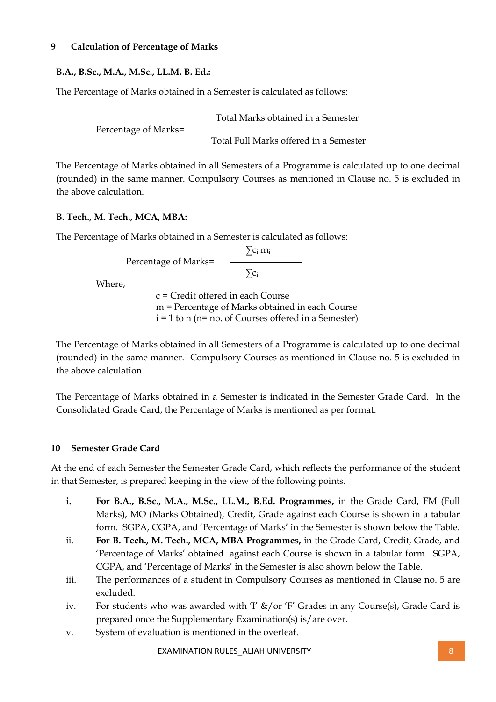#### **9 Calculation of Percentage of Marks**

## **B.A., B.Sc., M.A., M.Sc., LL.M. B. Ed.:**

The Percentage of Marks obtained in a Semester is calculated as follows:

Total Marks obtained in a Semester Percentage of Marks= Total Full Marks offered in a Semester

The Percentage of Marks obtained in all Semesters of a Programme is calculated up to one decimal (rounded) in the same manner. Compulsory Courses as mentioned in Clause no. 5 is excluded in the above calculation.

## **B. Tech., M. Tech., MCA, MBA:**

The Percentage of Marks obtained in a Semester is calculated as follows:

 $\sum c_i m_i$ Percentage of Marks=  $\sum c_i$ 

Where,

c = Credit offered in each Course m = Percentage of Marks obtained in each Course  $i = 1$  to n (n= no. of Courses offered in a Semester)

The Percentage of Marks obtained in all Semesters of a Programme is calculated up to one decimal (rounded) in the same manner. Compulsory Courses as mentioned in Clause no. 5 is excluded in the above calculation.

The Percentage of Marks obtained in a Semester is indicated in the Semester Grade Card. In the Consolidated Grade Card, the Percentage of Marks is mentioned as per format.

## **10 Semester Grade Card**

At the end of each Semester the Semester Grade Card, which reflects the performance of the student in that Semester, is prepared keeping in the view of the following points.

- **i. For B.A., B.Sc., M.A., M.Sc., LL.M., B.Ed. Programmes,** in the Grade Card, FM (Full Marks), MO (Marks Obtained), Credit, Grade against each Course is shown in a tabular form. SGPA, CGPA, and 'Percentage of Marks' in the Semester is shown below the Table.
- ii. **For B. Tech., M. Tech., MCA, MBA Programmes,** in the Grade Card, Credit, Grade, and 'Percentage of Marks' obtained against each Course is shown in a tabular form. SGPA, CGPA, and 'Percentage of Marks' in the Semester is also shown below the Table.
- iii. The performances of a student in Compulsory Courses as mentioned in Clause no. 5 are excluded.
- iv. For students who was awarded with 'I' &/or 'F' Grades in any Course(s), Grade Card is prepared once the Supplementary Examination(s) is/are over.
- v. System of evaluation is mentioned in the overleaf.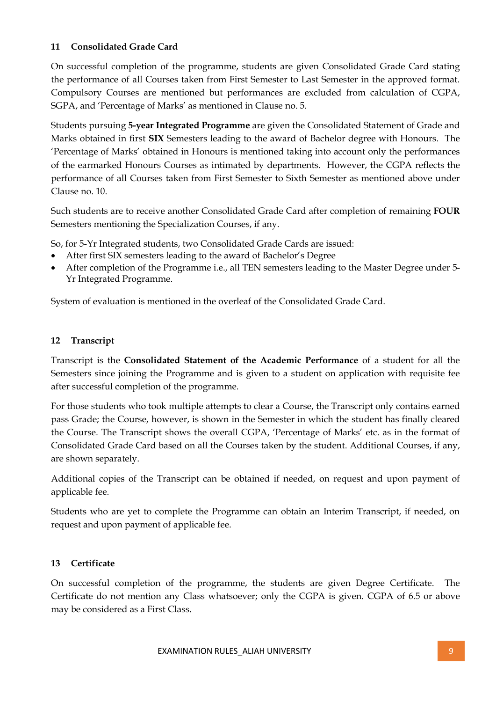## **11 Consolidated Grade Card**

On successful completion of the programme, students are given Consolidated Grade Card stating the performance of all Courses taken from First Semester to Last Semester in the approved format. Compulsory Courses are mentioned but performances are excluded from calculation of CGPA, SGPA, and 'Percentage of Marks' as mentioned in Clause no. 5.

Students pursuing **5-year Integrated Programme** are given the Consolidated Statement of Grade and Marks obtained in first **SIX** Semesters leading to the award of Bachelor degree with Honours. The 'Percentage of Marks' obtained in Honours is mentioned taking into account only the performances of the earmarked Honours Courses as intimated by departments. However, the CGPA reflects the performance of all Courses taken from First Semester to Sixth Semester as mentioned above under Clause no. 10.

Such students are to receive another Consolidated Grade Card after completion of remaining **FOUR** Semesters mentioning the Specialization Courses, if any.

So, for 5-Yr Integrated students, two Consolidated Grade Cards are issued:

- After first SIX semesters leading to the award of [Bachelor's Degree](meeting_11.3.14/format_5-yr%20Integrated%20Consolidated%20Grade%20Card.pdf)
- After completion of the Programme i.e., all TEN semesters leading to the Master Degree under [5-](meeting_11.3.14/final%20formats/consolidated_5yrMAMSc.pdf) [Yr Integrated Programme.](meeting_11.3.14/final%20formats/consolidated_5yrMAMSc.pdf)

System of evaluation is mentioned in the overleaf of the Consolidated Grade Card.

#### **12 Transcript**

Transcript is the **Consolidated Statement of the Academic Performance** of a student for all the Semesters since joining the Programme and is given to a student on application with requisite fee after successful completion of the programme.

For those students who took multiple attempts to clear a Course, the Transcript only contains earned pass Grade; the Course, however, is shown in the Semester in which the student has finally cleared the Course. The Transcript shows the overall CGPA, 'Percentage of Marks' etc. as in the format of Consolidated Grade Card based on all the Courses taken by the student. Additional Courses, if any, are shown separately.

Additional copies of the Transcript can be obtained if needed, on request and upon payment of applicable fee.

Students who are yet to complete the Programme can obtain an Interim Transcript, if needed, on request and upon payment of applicable fee.

## **13 Certificate**

On successful completion of the programme, the students are given Degree Certificate. The Certificate do not mention any Class whatsoever; only the CGPA is given. CGPA of 6.5 or above may be considered as a First Class.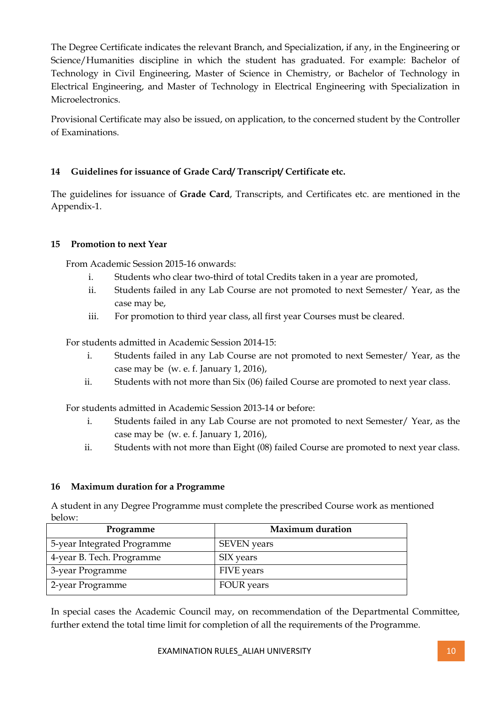The Degree Certificate indicates the relevant Branch, and Specialization, if any, in the Engineering or Science/Humanities discipline in which the student has graduated. For example: Bachelor of Technology in Civil Engineering, Master of Science in Chemistry, or Bachelor of Technology in Electrical Engineering, and Master of Technology in Electrical Engineering with Specialization in Microelectronics.

Provisional Certificate may also be issued, on application, to the concerned student by the Controller of Examinations.

## **14 Guidelines for issuance of Grade Card/ Transcript/ Certificate etc.**

The guidelines for issuance of **Grade Card**, Transcripts, and Certificates etc. are mentioned in the Appendix-1.

## **15 Promotion to next Year**

From Academic Session 2015-16 onwards:

- i. Students who clear two-third of total Credits taken in a year are promoted,
- ii. Students failed in any Lab Course are not promoted to next Semester/ Year, as the case may be,
- iii. For promotion to third year class, all first year Courses must be cleared.

For students admitted in Academic Session 2014-15:

- i. Students failed in any Lab Course are not promoted to next Semester/ Year, as the case may be (w. e. f. January 1, 2016),
- ii. Students with not more than Six (06) failed Course are promoted to next year class.

For students admitted in Academic Session 2013-14 or before:

- i. Students failed in any Lab Course are not promoted to next Semester/ Year, as the case may be (w. e. f. January 1, 2016),
- ii. Students with not more than Eight (08) failed Course are promoted to next year class.

#### **16 Maximum duration for a Programme**

A student in any Degree Programme must complete the prescribed Course work as mentioned below:

| Programme                   | <b>Maximum duration</b> |
|-----------------------------|-------------------------|
| 5-year Integrated Programme | <b>SEVEN</b> years      |
| 4-year B. Tech. Programme   | SIX years               |
| 3-year Programme            | FIVE years              |
| 2-year Programme            | <b>FOUR</b> years       |

In special cases the Academic Council may, on recommendation of the Departmental Committee, further extend the total time limit for completion of all the requirements of the Programme.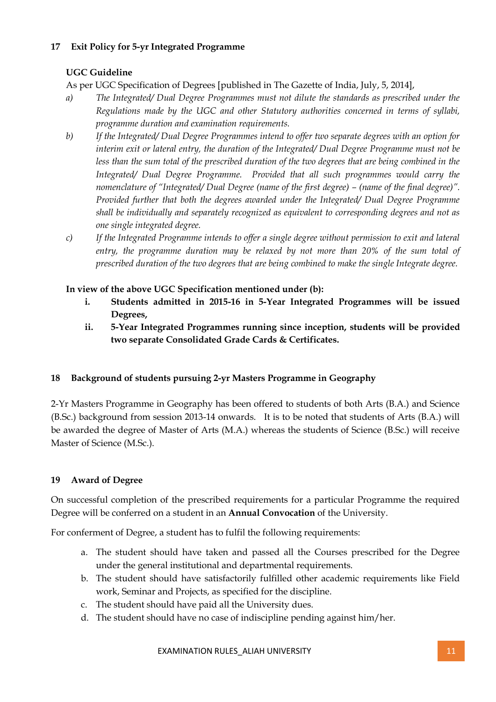## **17 Exit Policy for 5-yr Integrated Programme**

## **UGC Guideline**

As per UGC Specification of Degrees [published in The Gazette of India, July, 5, 2014],

- *a) The Integrated/ Dual Degree Programmes must not dilute the standards as prescribed under the Regulations made by the UGC and other Statutory authorities concerned in terms of syllabi, programme duration and examination requirements.*
- *b) If the Integrated/ Dual Degree Programmes intend to offer two separate degrees with an option for interim exit or lateral entry, the duration of the Integrated/ Dual Degree Programme must not be*  less than the sum total of the prescribed duration of the two degrees that are being combined in the *Integrated/ Dual Degree Programme. Provided that all such programmes would carry the nomenclature of "Integrated/ Dual Degree (name of the first degree) – (name of the final degree)". Provided further that both the degrees awarded under the Integrated/ Dual Degree Programme shall be individually and separately recognized as equivalent to corresponding degrees and not as one single integrated degree.*
- *c) If the Integrated Programme intends to offer a single degree without permission to exit and lateral entry, the programme duration may be relaxed by not more than 20% of the sum total of prescribed duration of the two degrees that are being combined to make the single Integrate degree.*

## **In view of the above UGC Specification mentioned under (b):**

- **i. Students admitted in 2015-16 in 5-Year Integrated Programmes will be issued Degrees,**
- **ii. 5-Year Integrated Programmes running since inception, students will be provided two separate Consolidated Grade Cards & Certificates.**

## **18 Background of students pursuing 2-yr Masters Programme in Geography**

2-Yr Masters Programme in Geography has been offered to students of both Arts (B.A.) and Science (B.Sc.) background from session 2013-14 onwards. It is to be noted that students of Arts (B.A.) will be awarded the degree of Master of Arts (M.A.) whereas the students of Science (B.Sc.) will receive Master of Science (M.Sc.).

## **19 Award of Degree**

On successful completion of the prescribed requirements for a particular Programme the required Degree will be conferred on a student in an **Annual Convocation** of the University.

For conferment of Degree, a student has to fulfil the following requirements:

- a. The student should have taken and passed all the Courses prescribed for the Degree under the general institutional and departmental requirements.
- b. The student should have satisfactorily fulfilled other academic requirements like Field work, Seminar and Projects, as specified for the discipline.
- c. The student should have paid all the University dues.
- d. The student should have no case of indiscipline pending against him/her.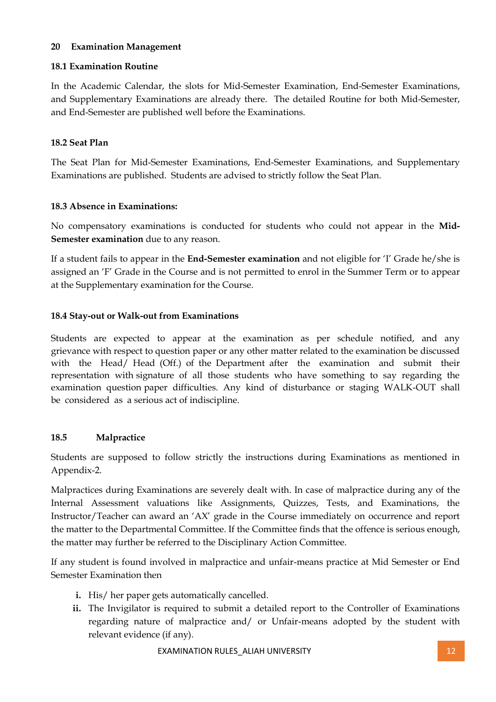#### **20 Examination Management**

## **18.1 Examination Routine**

In the Academic Calendar, the slots for Mid-Semester Examination, End-Semester Examinations, and Supplementary Examinations are already there. The detailed Routine for both Mid-Semester, and End-Semester are published well before the Examinations.

#### **18.2 Seat Plan**

The Seat Plan for Mid-Semester Examinations, End-Semester Examinations, and Supplementary Examinations are published. Students are advised to strictly follow the Seat Plan.

#### **18.3 Absence in Examinations:**

No compensatory examinations is conducted for students who could not appear in the **Mid-Semester examination** due to any reason.

If a student fails to appear in the **End-Semester examination** and not eligible for 'I' Grade he/she is assigned an 'F' Grade in the Course and is not permitted to enrol in the Summer Term or to appear at the Supplementary examination for the Course.

#### **18.4 Stay-out or Walk-out from Examinations**

Students are expected to appear at the examination as per schedule notified, and any grievance with respect to question paper or any other matter related to the examination be discussed with the Head/ Head (Off.) of the Department after the examination and submit their representation with signature of all those students who have something to say regarding the examination question paper difficulties. Any kind of disturbance or staging WALK-OUT shall be considered as a serious act of indiscipline.

#### **18.5 Malpractice**

Students are supposed to follow strictly the instructions during Examinations as mentioned in Appendix-2.

Malpractices during Examinations are severely dealt with. In case of malpractice during any of the Internal Assessment valuations like Assignments, Quizzes, Tests, and Examinations, the Instructor/Teacher can award an 'AX' grade in the Course immediately on occurrence and report the matter to the Departmental Committee. If the Committee finds that the offence is serious enough, the matter may further be referred to the Disciplinary Action Committee.

If any student is found involved in malpractice and unfair-means practice at Mid Semester or End Semester Examination then

- **i.** His/ her paper gets automatically cancelled.
- **ii.** The Invigilator is required to submit a detailed report to the Controller of Examinations regarding nature of malpractice and/ or Unfair-means adopted by the student with relevant evidence (if any).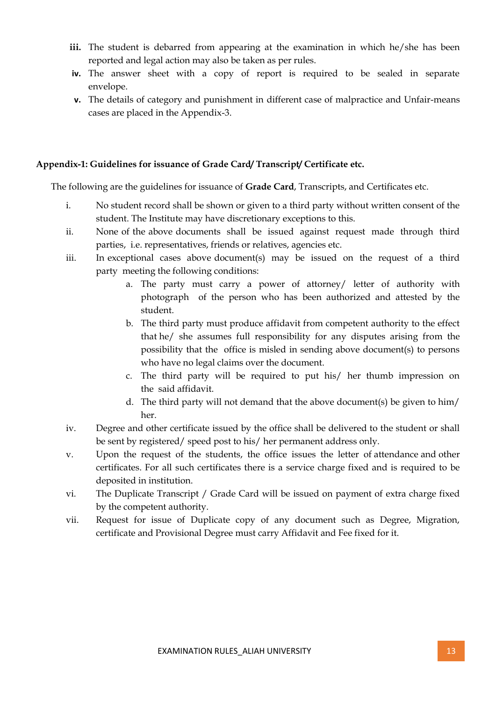- **iii.** The student is debarred from appearing at the examination in which he/she has been reported and legal action may also be taken as per rules.
- **iv.** The answer sheet with a copy of report is required to be sealed in separate envelope.
- **v.** The details of category and punishment in different case of malpractice and Unfair-means cases are placed in the Appendix-3.

## **Appendix-1: Guidelines for issuance of Grade Card/ Transcript/ Certificate etc.**

The following are the guidelines for issuance of **Grade Card**, Transcripts, and Certificates etc.

- i. No student record shall be shown or given to a third party without written consent of the student. The Institute may have discretionary exceptions to this.
- ii. None of the above documents shall be issued against request made through third parties, i.e. representatives, friends or relatives, agencies etc.
- iii. In exceptional cases above document(s) may be issued on the request of a third party meeting the following conditions:
	- a. The party must carry a power of attorney/ letter of authority with photograph of the person who has been authorized and attested by the student.
	- b. The third party must produce affidavit from competent authority to the effect that he/ she assumes full responsibility for any disputes arising from the possibility that the office is misled in sending above document(s) to persons who have no legal claims over the document.
	- c. The third party will be required to put his/ her thumb impression on the said affidavit.
	- d. The third party will not demand that the above document(s) be given to him/ her.
- iv. Degree and other certificate issued by the office shall be delivered to the student or shall be sent by registered/ speed post to his/ her permanent address only.
- v. Upon the request of the students, the office issues the letter of attendance and other certificates. For all such certificates there is a service charge fixed and is required to be deposited in institution.
- vi. The Duplicate Transcript / Grade Card will be issued on payment of extra charge fixed by the competent authority.
- vii. Request for issue of Duplicate copy of any document such as Degree, Migration, certificate and Provisional Degree must carry Affidavit and Fee fixed for it.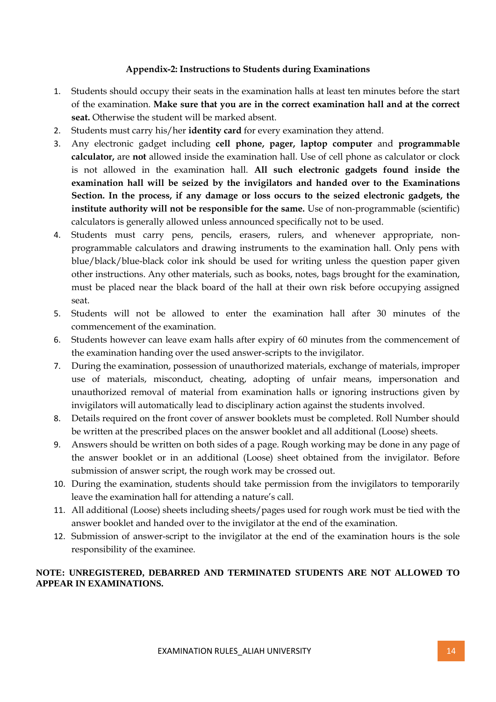#### **Appendix-2: Instructions to Students during Examinations**

- 1. Students should occupy their seats in the examination halls at least ten minutes before the start of the examination. **Make sure that you are in the correct examination hall and at the correct seat.** Otherwise the student will be marked absent.
- 2. Students must carry his/her **identity card** for every examination they attend.
- 3. Any electronic gadget including **cell phone, pager, laptop computer** and **programmable calculator,** are **not** allowed inside the examination hall. Use of cell phone as calculator or clock is not allowed in the examination hall. **All such electronic gadgets found inside the examination hall will be seized by the invigilators and handed over to the Examinations Section. In the process, if any damage or loss occurs to the seized electronic gadgets, the institute authority will not be responsible for the same.** Use of non-programmable (scientific) calculators is generally allowed unless announced specifically not to be used.
- 4. Students must carry pens, pencils, erasers, rulers, and whenever appropriate, nonprogrammable calculators and drawing instruments to the examination hall. Only pens with blue/black/blue-black color ink should be used for writing unless the question paper given other instructions. Any other materials, such as books, notes, bags brought for the examination, must be placed near the black board of the hall at their own risk before occupying assigned seat.
- 5. Students will not be allowed to enter the examination hall after 30 minutes of the commencement of the examination.
- 6. Students however can leave exam halls after expiry of 60 minutes from the commencement of the examination handing over the used answer-scripts to the invigilator.
- 7. During the examination, possession of unauthorized materials, exchange of materials, improper use of materials, misconduct, cheating, adopting of unfair means, impersonation and unauthorized removal of material from examination halls or ignoring instructions given by invigilators will automatically lead to disciplinary action against the students involved.
- 8. Details required on the front cover of answer booklets must be completed. Roll Number should be written at the prescribed places on the answer booklet and all additional (Loose) sheets.
- 9. Answers should be written on both sides of a page. Rough working may be done in any page of the answer booklet or in an additional (Loose) sheet obtained from the invigilator. Before submission of answer script, the rough work may be crossed out.
- 10. During the examination, students should take permission from the invigilators to temporarily leave the examination hall for attending a nature's call.
- 11. All additional (Loose) sheets including sheets/pages used for rough work must be tied with the answer booklet and handed over to the invigilator at the end of the examination.
- 12. Submission of answer-script to the invigilator at the end of the examination hours is the sole responsibility of the examinee.

## **NOTE: UNREGISTERED, DEBARRED AND TERMINATED STUDENTS ARE NOT ALLOWED TO APPEAR IN EXAMINATIONS.**